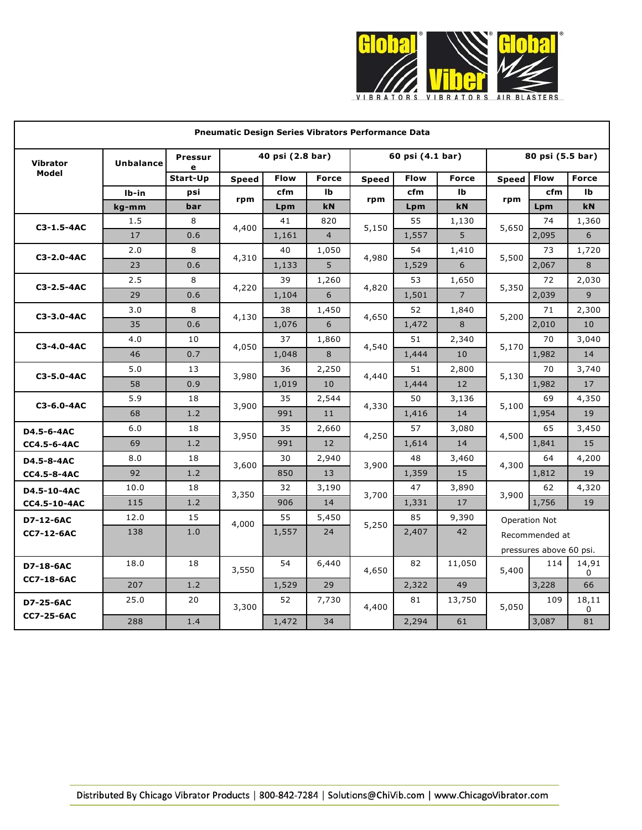

| <b>Pneumatic Design Series Vibrators Performance Data</b> |                  |                     |                  |       |                   |                  |       |                |                  |                         |              |
|-----------------------------------------------------------|------------------|---------------------|------------------|-------|-------------------|------------------|-------|----------------|------------------|-------------------------|--------------|
| <b>Vibrator</b>                                           | <b>Unbalance</b> | <b>Pressur</b><br>e | 40 psi (2.8 bar) |       |                   | 60 psi (4.1 bar) |       |                | 80 psi (5.5 bar) |                         |              |
| Model                                                     |                  | Start-Up            | <b>Speed</b>     | Flow  | <b>Force</b>      | <b>Speed</b>     | Flow  | <b>Force</b>   | <b>Speed</b>     | <b>Flow</b>             | <b>Force</b> |
|                                                           | Ib-in            | psi                 | rpm              | cfm   | Ib                | rpm              | cfm   | Ib             | rpm              | cfm                     | Ib           |
|                                                           | kg-mm            | bar                 |                  | Lpm   | kN                |                  | Lpm   | kN             |                  | Lpm                     | kN           |
| C3-1.5-4AC                                                | 1.5              | 8                   | 4,400            | 41    | 820               | 5,150            | 55    | 1,130          | 5,650            | 74                      | 1,360        |
|                                                           | 17               | 0.6                 |                  | 1,161 | $\overline{4}$    |                  | 1,557 | 5              |                  | 2,095                   | 6            |
| C3-2.0-4AC                                                | 2.0              | 8                   | 4,310            | 40    | 1,050             | 4,980            | 54    | 1,410          | 5,500            | 73                      | 1,720        |
|                                                           | 23               | 0.6                 |                  | 1,133 | 5                 |                  | 1,529 | 6              |                  | 2,067                   | 8            |
| C3-2.5-4AC                                                | 2.5              | 8                   | 4,220            | 39    | 1,260             | 4,820            | 53    | 1,650          | 5,350            | 72                      | 2,030        |
|                                                           | 29               | 0.6                 |                  | 1,104 | 6                 |                  | 1,501 | $\overline{7}$ |                  | 2,039                   | 9            |
| C3-3.0-4AC                                                | 3.0              | 8                   | 4,130            | 38    | 1,450             | 4,650            | 52    | 1,840          | 5,200            | 71                      | 2,300        |
|                                                           | 35               | 0.6                 |                  | 1,076 | 6                 |                  | 1,472 | 8              |                  | 2,010                   | 10           |
| C3-4.0-4AC                                                | 4.0              | 10                  | 4,050            | 37    | 1,860             | 4,540            | 51    | 2,340          | 5,170            | 70                      | 3,040        |
|                                                           | 46               | 0.7                 |                  | 1,048 | 8                 |                  | 1,444 | 10             |                  | 1,982                   | 14           |
| C3-5.0-4AC                                                | 5.0              | 13                  | 3,980            | 36    | 2,250             | 4,440            | 51    | 2,800          | 5,130            | 70                      | 3,740        |
|                                                           | 58               | 0.9                 |                  | 1,019 | 10                |                  | 1,444 | 12             |                  | 1,982                   | 17           |
| C3-6.0-4AC                                                | 5.9              | 18                  | 3,900            | 35    | 2,544             | 4,330            | 50    | 3,136          | 5,100            | 69                      | 4,350        |
|                                                           | 68               | 1.2                 |                  | 991   | 11                |                  | 1,416 | 14             |                  | 1,954                   | 19           |
| D4.5-6-4AC                                                | 6.0              | 18                  |                  | 35    | 2,660             | 4,250            | 57    | 3,080          | 4,500            | 65                      | 3,450        |
| CC4.5-6-4AC                                               | 69               | 1.2                 | 3,950            | 991   | $12 \overline{ }$ |                  | 1,614 | 14             |                  | 1,841                   | 15           |
| D4.5-8-4AC                                                | 8.0              | 18                  | 3,600            | 30    | 2,940             | 3,900            | 48    | 3,460          | 4,300            | 64                      | 4,200        |
| <b>CC4.5-8-4AC</b>                                        | 92               | 1.2                 |                  | 850   | 13                |                  | 1,359 | 15             |                  | 1,812                   | 19           |
| D4.5-10-4AC                                               | 10.0             | 18                  | 3,350            | 32    | 3,190             | 3,700            | 47    | 3,890          | 3,900            | 62                      | 4,320        |
| CC4.5-10-4AC                                              | 115              | 1.2                 |                  | 906   | 14                |                  | 1,331 | 17             |                  | 1,756                   | 19           |
| D7-12-6AC                                                 | 12.0             | 15                  | 4,000            | 55    | 5,450             | 5,250            | 85    | 9,390          |                  | Operation Not           |              |
| <b>CC7-12-6AC</b>                                         | 138              | 1.0                 |                  | 1,557 | 24                |                  | 2,407 | 42             | Recommended at   |                         |              |
|                                                           |                  |                     |                  |       |                   |                  |       |                |                  | pressures above 60 psi. |              |
| D7-18-6AC                                                 | 18.0             | 18                  |                  | 54    | 6,440             |                  | 82    | 11,050         |                  | 114                     | 14,91        |
| <b>CC7-18-6AC</b>                                         |                  |                     | 3,550            |       |                   | 4,650            |       |                | 5,400            |                         | 0            |
|                                                           | 207              | 1.2                 |                  | 1,529 | 29                |                  | 2,322 | 49             |                  | 3,228                   | 66           |
| D7-25-6AC<br><b>CC7-25-6AC</b>                            | 25.0             | 20                  | 3,300            | 52    | 7,730             | 4,400            | 81    | 13,750         | 5,050            | 109                     | 18,11<br>0   |
|                                                           | 288              | 1.4                 |                  | 1,472 | 34                |                  | 2,294 | 61             |                  | 3,087                   | 81           |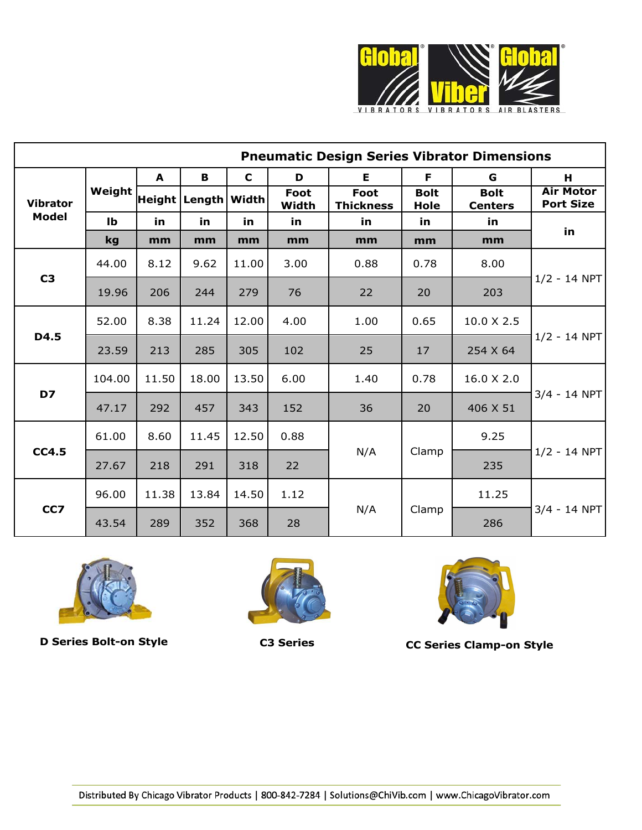

| <b>Pneumatic Design Series Vibrator Dimensions</b> |              |       |                         |             |               |                                 |                            |                               |                                      |  |
|----------------------------------------------------|--------------|-------|-------------------------|-------------|---------------|---------------------------------|----------------------------|-------------------------------|--------------------------------------|--|
| <b>Vibrator</b><br><b>Model</b>                    | Weight       | A     | В                       | $\mathbf C$ | D             | E                               | F                          | G                             | H                                    |  |
|                                                    |              |       | Height   Length   Width |             | Foot<br>Width | <b>Foot</b><br><b>Thickness</b> | <b>Bolt</b><br><b>Hole</b> | <b>Bolt</b><br><b>Centers</b> | <b>Air Motor</b><br><b>Port Size</b> |  |
|                                                    | $\mathbf{I}$ | in    | in                      | in          | in            | in.                             | in.                        | in.                           | in                                   |  |
|                                                    | kg           | mm    | mm                      | mm          | mm            | mm                              | mm                         | mm                            |                                      |  |
| C <sub>3</sub>                                     | 44.00        | 8.12  | 9.62                    | 11.00       | 3.00          | 0.88                            | 0.78                       | 8.00                          | $1/2 - 14$ NPT                       |  |
|                                                    | 19.96        | 206   | 244                     | 279         | 76            | 22                              | 20                         | 203                           |                                      |  |
| D4.5                                               | 52.00        | 8.38  | 11.24                   | 12.00       | 4.00          | 1.00                            | 0.65                       | 10.0 X 2.5                    | $1/2 - 14$ NPT                       |  |
|                                                    | 23.59        | 213   | 285                     | 305         | 102           | 25                              | 17                         | 254 X 64                      |                                      |  |
| D7                                                 | 104.00       | 11.50 | 18.00                   | 13.50       | 6.00          | 1.40                            | 0.78                       | 16.0 X 2.0                    | $3/4 - 14$ NPT                       |  |
|                                                    | 47.17        | 292   | 457                     | 343         | 152           | 36                              | 20                         | 406 X 51                      |                                      |  |
| <b>CC4.5</b>                                       | 61.00        | 8.60  | 11.45                   | 12.50       | 0.88          |                                 | Clamp                      | 9.25                          | $1/2 - 14$ NPT                       |  |
|                                                    | 27.67        | 218   | 291                     | 318         | 22            | N/A                             |                            | 235                           |                                      |  |
| CC7                                                | 96.00        | 11.38 | 13.84                   | 14.50       | 1.12          |                                 | Clamp                      | 11.25                         | $3/4 - 14$ NPT                       |  |
|                                                    | 43.54        | 289   | 352                     | 368         | 28            | N/A                             |                            | 286                           |                                      |  |







**D Series Bolt-on Style C3 Series CC Series Clamp-on Style**